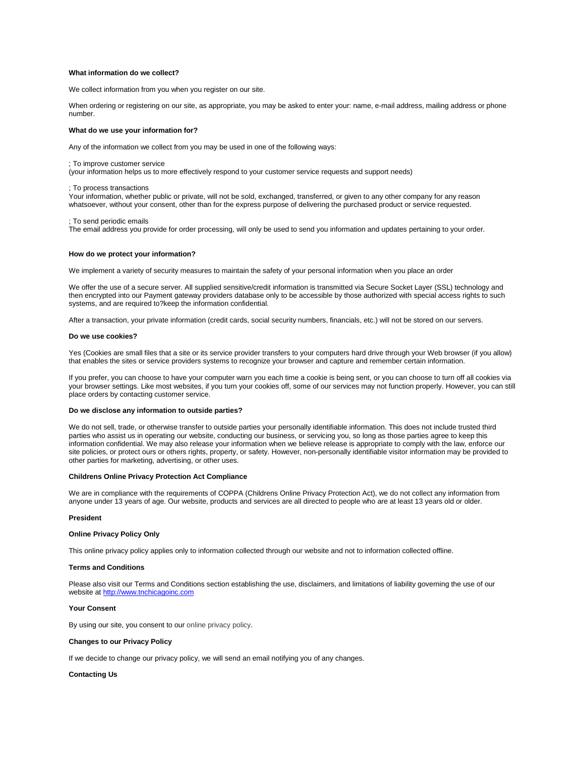## **What information do we collect?**

We collect information from you when you register on our site.

When ordering or registering on our site, as appropriate, you may be asked to enter your: name, e-mail address, mailing address or phone number.

# **What do we use your information for?**

Any of the information we collect from you may be used in one of the following ways:

### ; To improve customer service

(your information helps us to more effectively respond to your customer service requests and support needs)

; To process transactions

Your information, whether public or private, will not be sold, exchanged, transferred, or given to any other company for any reason whatsoever, without your consent, other than for the express purpose of delivering the purchased product or service requested.

; To send periodic emails

The email address you provide for order processing, will only be used to send you information and updates pertaining to your order.

### **How do we protect your information?**

We implement a variety of security measures to maintain the safety of your personal information when you place an order

We offer the use of a secure server. All supplied sensitive/credit information is transmitted via Secure Socket Layer (SSL) technology and then encrypted into our Payment gateway providers database only to be accessible by those authorized with special access rights to such systems, and are required to?keep the information confidential.

After a transaction, your private information (credit cards, social security numbers, financials, etc.) will not be stored on our servers.

### **Do we use cookies?**

Yes (Cookies are small files that a site or its service provider transfers to your computers hard drive through your Web browser (if you allow) that enables the sites or service providers systems to recognize your browser and capture and remember certain information.

If you prefer, you can choose to have your computer warn you each time a cookie is being sent, or you can choose to turn off all cookies via your browser settings. Like most websites, if you turn your cookies off, some of our services may not function properly. However, you can still place orders by contacting customer service.

# **Do we disclose any information to outside parties?**

We do not sell, trade, or otherwise transfer to outside parties your personally identifiable information. This does not include trusted third parties who assist us in operating our website, conducting our business, or servicing you, so long as those parties agree to keep this information confidential. We may also release your information when we believe release is appropriate to comply with the law, enforce our site policies, or protect ours or others rights, property, or safety. However, non-personally identifiable visitor information may be provided to other parties for marketing, advertising, or other uses.

## **Childrens Online Privacy Protection Act Compliance**

We are in compliance with the requirements of COPPA (Childrens Online Privacy Protection Act), we do not collect any information from anyone under 13 years of age. Our website, products and services are all directed to people who are at least 13 years old or older.

### **President**

## **Online Privacy Policy Only**

This online privacy policy applies only to information collected through our website and not to information collected offline.

### **Terms and Conditions**

Please also visit our Terms and Conditions section establishing the use, disclaimers, and limitations of liability governing the use of our website at [http://www.tnchicagoinc.com](http://www.tnchicagoinc.com/)

# **Your Consent**

By using our site, you consent to ou[r online privacy policy.](http://www.freeprivacypolicy.com/)

## **Changes to our Privacy Policy**

If we decide to change our privacy policy, we will send an email notifying you of any changes.

# **Contacting Us**